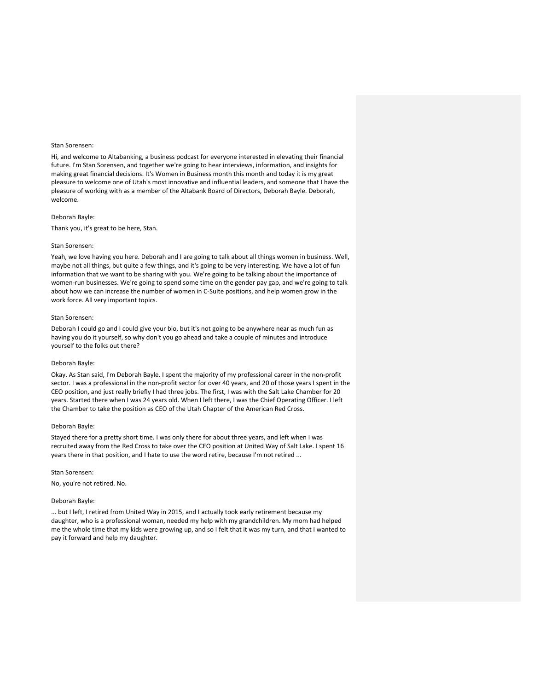Hi, and welcome to Altabanking, a business podcast for everyone interested in elevating their financial future. I'm Stan Sorensen, and together we're going to hear interviews, information, and insights for making great financial decisions. It's Women in Business month this month and today it is my great pleasure to welcome one of Utah's most innovative and influential leaders, and someone that I have the pleasure of working with as a member of the Altabank Board of Directors, Deborah Bayle. Deborah, welcome.

# Deborah Bayle:

Thank you, it's great to be here, Stan.

#### Stan Sorensen:

Yeah, we love having you here. Deborah and I are going to talk about all things women in business. Well, maybe not all things, but quite a few things, and it's going to be very interesting. We have a lot of fun information that we want to be sharing with you. We're going to be talking about the importance of women-run businesses. We're going to spend some time on the gender pay gap, and we're going to talk about how we can increase the number of women in C-Suite positions, and help women grow in the work force. All very important topics.

## Stan Sorensen:

Deborah I could go and I could give your bio, but it's not going to be anywhere near as much fun as having you do it yourself, so why don't you go ahead and take a couple of minutes and introduce yourself to the folks out there?

## Deborah Bayle:

Okay. As Stan said, I'm Deborah Bayle. I spent the majority of my professional career in the non-profit sector. I was a professional in the non-profit sector for over 40 years, and 20 of those years I spent in the CEO position, and just really briefly I had three jobs. The first, I was with the Salt Lake Chamber for 20 years. Started there when I was 24 years old. When I left there, I was the Chief Operating Officer. I left the Chamber to take the position as CEO of the Utah Chapter of the American Red Cross.

## Deborah Bayle:

Stayed there for a pretty short time. I was only there for about three years, and left when I was recruited away from the Red Cross to take over the CEO position at United Way of Salt Lake. I spent 16 years there in that position, and I hate to use the word retire, because I'm not retired ...

#### Stan Sorensen:

No, you're not retired. No.

#### Deborah Bayle:

... but I left, I retired from United Way in 2015, and I actually took early retirement because my daughter, who is a professional woman, needed my help with my grandchildren. My mom had helped me the whole time that my kids were growing up, and so I felt that it was my turn, and that I wanted to pay it forward and help my daughter.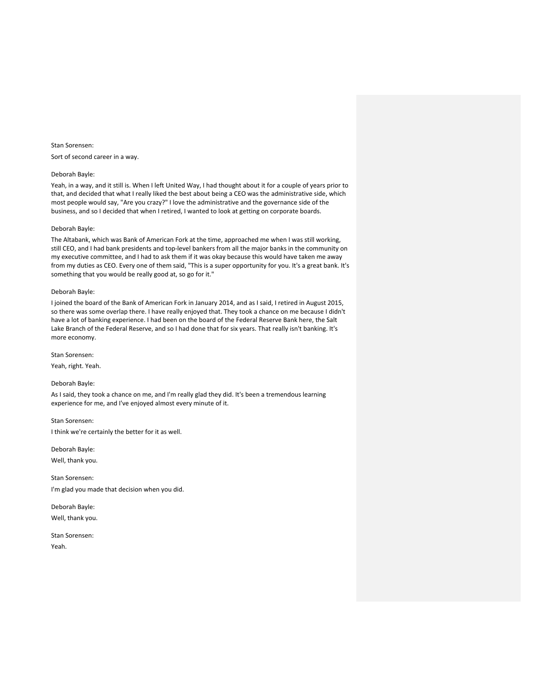Stan Sorensen: Sort of second career in a way.

#### Deborah Bayle:

Yeah, in a way, and it still is. When I left United Way, I had thought about it for a couple of years prior to that, and decided that what I really liked the best about being a CEO was the administrative side, which most people would say, "Are you crazy?" I love the administrative and the governance side of the business, and so I decided that when I retired, I wanted to look at getting on corporate boards.

# Deborah Bayle:

The Altabank, which was Bank of American Fork at the time, approached me when I was still working, still CEO, and I had bank presidents and top-level bankers from all the major banks in the community on my executive committee, and I had to ask them if it was okay because this would have taken me away from my duties as CEO. Every one of them said, "This is a super opportunity for you. It's a great bank. It's something that you would be really good at, so go for it."

# Deborah Bayle:

I joined the board of the Bank of American Fork in January 2014, and as I said, I retired in August 2015, so there was some overlap there. I have really enjoyed that. They took a chance on me because I didn't have a lot of banking experience. I had been on the board of the Federal Reserve Bank here, the Salt Lake Branch of the Federal Reserve, and so I had done that for six years. That really isn't banking. It's more economy.

Stan Sorensen:

Yeah, right. Yeah.

# Deborah Bayle:

As I said, they took a chance on me, and I'm really glad they did. It's been a tremendous learning experience for me, and I've enjoyed almost every minute of it.

Stan Sorensen: I think we're certainly the better for it as well.

Deborah Bayle: Well, thank you.

Stan Sorensen: I'm glad you made that decision when you did.

Deborah Bayle: Well, thank you.

Stan Sorensen: Yeah.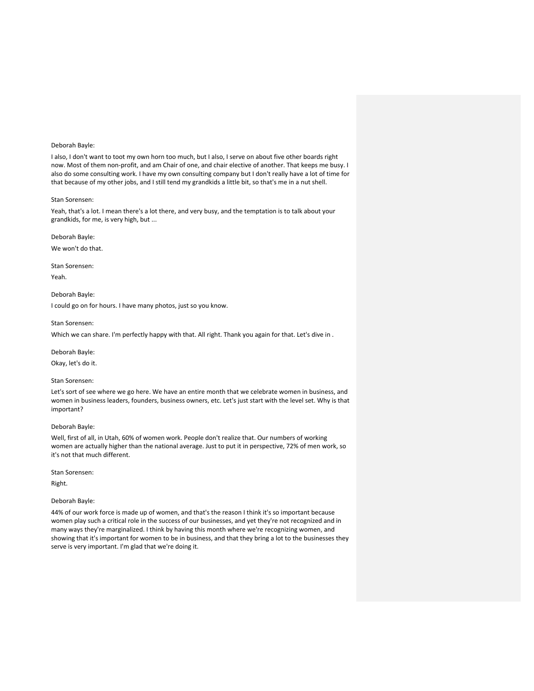I also, I don't want to toot my own horn too much, but I also, I serve on about five other boards right now. Most of them non-profit, and am Chair of one, and chair elective of another. That keeps me busy. I also do some consulting work. I have my own consulting company but I don't really have a lot of time for that because of my other jobs, and I still tend my grandkids a little bit, so that's me in a nut shell.

# Stan Sorensen:

Yeah, that's a lot. I mean there's a lot there, and very busy, and the temptation is to talk about your grandkids, for me, is very high, but ...

# Deborah Bayle:

We won't do that.

Stan Sorensen:

Yeah.

Deborah Bayle: I could go on for hours. I have many photos, just so you know.

#### Stan Sorensen:

Which we can share. I'm perfectly happy with that. All right. Thank you again for that. Let's dive in .

Deborah Bayle:

Okay, let's do it.

# Stan Sorensen:

Let's sort of see where we go here. We have an entire month that we celebrate women in business, and women in business leaders, founders, business owners, etc. Let's just start with the level set. Why is that important?

# Deborah Bayle:

Well, first of all, in Utah, 60% of women work. People don't realize that. Our numbers of working women are actually higher than the national average. Just to put it in perspective, 72% of men work, so it's not that much different.

Stan Sorensen:

Right.

#### Deborah Bayle:

44% of our work force is made up of women, and that's the reason I think it's so important because women play such a critical role in the success of our businesses, and yet they're not recognized and in many ways they're marginalized. I think by having this month where we're recognizing women, and showing that it's important for women to be in business, and that they bring a lot to the businesses they serve is very important. I'm glad that we're doing it.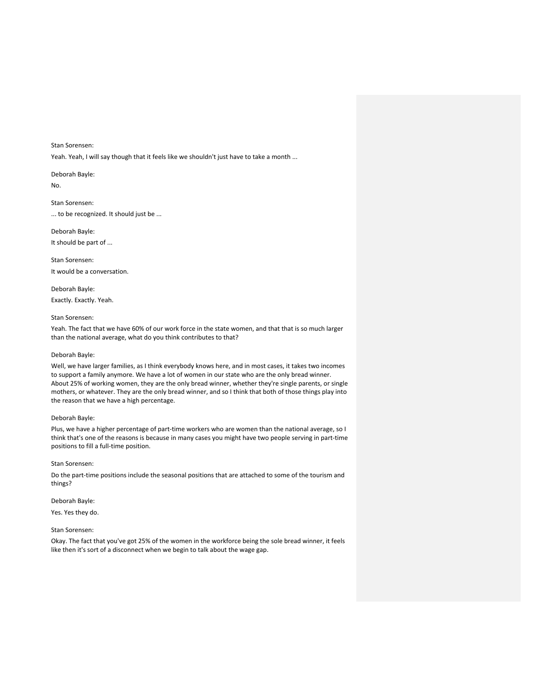Yeah. Yeah, I will say though that it feels like we shouldn't just have to take a month ...

Deborah Bayle:

No.

Stan Sorensen: ... to be recognized. It should just be ...

Deborah Bayle: It should be part of ...

Stan Sorensen: It would be a conversation.

Deborah Bayle: Exactly. Exactly. Yeah.

# Stan Sorensen:

Yeah. The fact that we have 60% of our work force in the state women, and that that is so much larger than the national average, what do you think contributes to that?

# Deborah Bayle:

Well, we have larger families, as I think everybody knows here, and in most cases, it takes two incomes to support a family anymore. We have a lot of women in our state who are the only bread winner. About 25% of working women, they are the only bread winner, whether they're single parents, or single mothers, or whatever. They are the only bread winner, and so I think that both of those things play into the reason that we have a high percentage.

# Deborah Bayle:

Plus, we have a higher percentage of part-time workers who are women than the national average, so I think that's one of the reasons is because in many cases you might have two people serving in part-time positions to fill a full-time position.

# Stan Sorensen:

Do the part-time positions include the seasonal positions that are attached to some of the tourism and things?

Deborah Bayle:

Yes. Yes they do.

# Stan Sorensen:

Okay. The fact that you've got 25% of the women in the workforce being the sole bread winner, it feels like then it's sort of a disconnect when we begin to talk about the wage gap.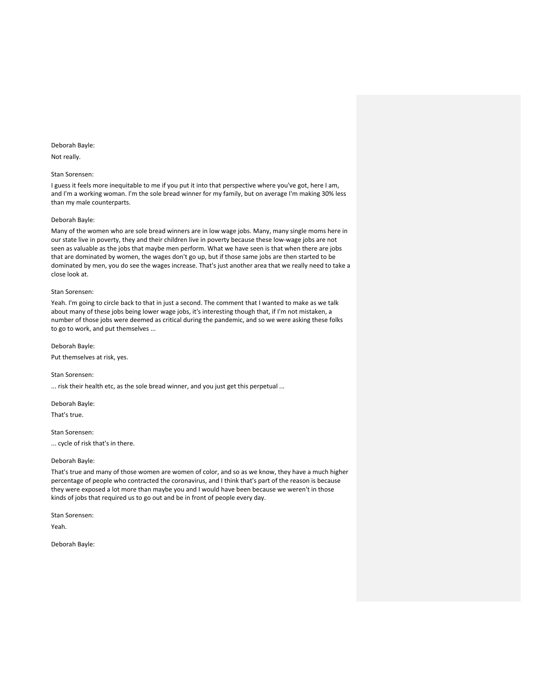# Not really.

# Stan Sorensen:

I guess it feels more inequitable to me if you put it into that perspective where you've got, here I am, and I'm a working woman. I'm the sole bread winner for my family, but on average I'm making 30% less than my male counterparts.

# Deborah Bayle:

Many of the women who are sole bread winners are in low wage jobs. Many, many single moms here in our state live in poverty, they and their children live in poverty because these low-wage jobs are not seen as valuable as the jobs that maybe men perform. What we have seen is that when there are jobs that are dominated by women, the wages don't go up, but if those same jobs are then started to be dominated by men, you do see the wages increase. That's just another area that we really need to take a close look at.

# Stan Sorensen:

Yeah. I'm going to circle back to that in just a second. The comment that I wanted to make as we talk about many of these jobs being lower wage jobs, it's interesting though that, if I'm not mistaken, a number of those jobs were deemed as critical during the pandemic, and so we were asking these folks to go to work, and put themselves ...

Deborah Bayle:

Put themselves at risk, yes.

Stan Sorensen:

... risk their health etc, as the sole bread winner, and you just get this perpetual ...

Deborah Bayle: That's true.

Stan Sorensen:

... cycle of risk that's in there.

# Deborah Bayle:

That's true and many of those women are women of color, and so as we know, they have a much higher percentage of people who contracted the coronavirus, and I think that's part of the reason is because they were exposed a lot more than maybe you and I would have been because we weren't in those kinds of jobs that required us to go out and be in front of people every day.

Stan Sorensen:

Yeah.

Deborah Bayle: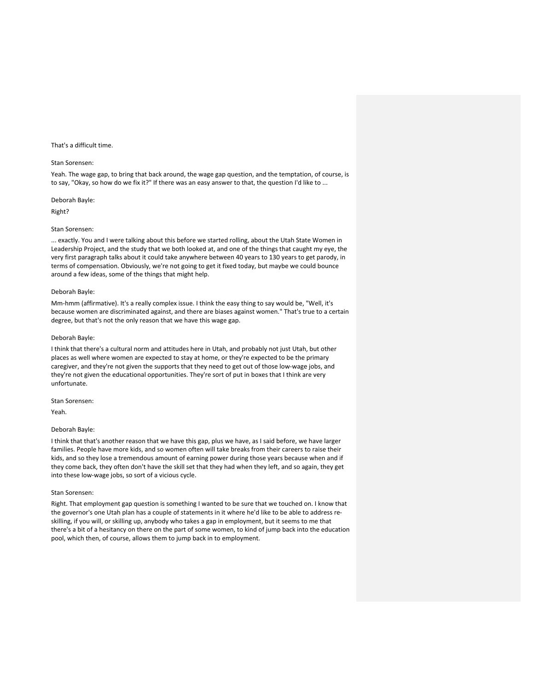## That's a difficult time.

## Stan Sorensen:

Yeah. The wage gap, to bring that back around, the wage gap question, and the temptation, of course, is to say, "Okay, so how do we fix it?" If there was an easy answer to that, the question I'd like to ...

## Deborah Bayle:

Right?

## Stan Sorensen:

... exactly. You and I were talking about this before we started rolling, about the Utah State Women in Leadership Project, and the study that we both looked at, and one of the things that caught my eye, the very first paragraph talks about it could take anywhere between 40 years to 130 years to get parody, in terms of compensation. Obviously, we're not going to get it fixed today, but maybe we could bounce around a few ideas, some of the things that might help.

# Deborah Bayle:

Mm-hmm (affirmative). It's a really complex issue. I think the easy thing to say would be, "Well, it's because women are discriminated against, and there are biases against women." That's true to a certain degree, but that's not the only reason that we have this wage gap.

#### Deborah Bayle:

I think that there's a cultural norm and attitudes here in Utah, and probably not just Utah, but other places as well where women are expected to stay at home, or they're expected to be the primary caregiver, and they're not given the supports that they need to get out of those low-wage jobs, and they're not given the educational opportunities. They're sort of put in boxes that I think are very unfortunate.

# Stan Sorensen:

Yeah.

#### Deborah Bayle:

I think that that's another reason that we have this gap, plus we have, as I said before, we have larger families. People have more kids, and so women often will take breaks from their careers to raise their kids, and so they lose a tremendous amount of earning power during those years because when and if they come back, they often don't have the skill set that they had when they left, and so again, they get into these low-wage jobs, so sort of a vicious cycle.

#### Stan Sorensen:

Right. That employment gap question is something I wanted to be sure that we touched on. I know that the governor's one Utah plan has a couple of statements in it where he'd like to be able to address reskilling, if you will, or skilling up, anybody who takes a gap in employment, but it seems to me that there's a bit of a hesitancy on there on the part of some women, to kind of jump back into the education pool, which then, of course, allows them to jump back in to employment.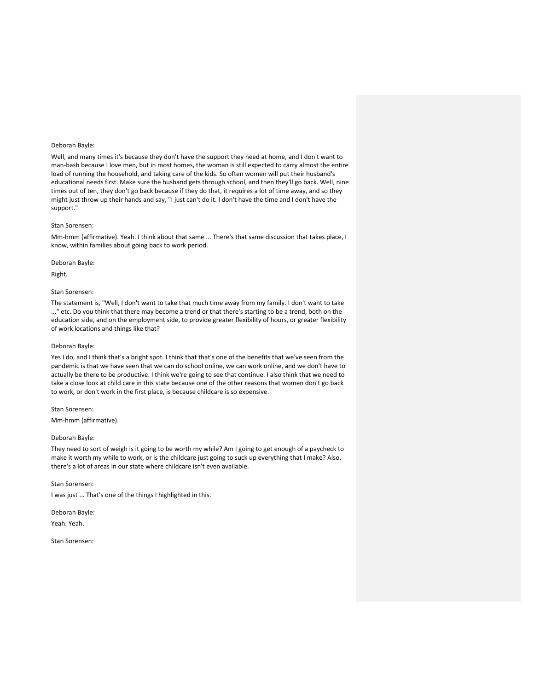Well, and many times it's because they don't have the support they need at home, and I don't want to man-bash because I love men, but in most homes, the woman is still expected to carry almost the entire load of running the household, and taking care of the kids. So often women will put their husband's educational needs first. Make sure the husband gets through school, and then they'll go back. Well, nine times out of ten, they don't go back because if they do that, it requires a lot of time away, and so they might just throw up their hands and say, "I just can't do it. I don't have the time and I don't have the support."

#### Stan Sorensen:

Mm-hmm (affirmative). Yeah. I think about that same ... There's that same discussion that takes place, I know, within families about going back to work period.

## Deborah Bayle:

Right.

## Stan Sorensen:

The statement is, "Well, I don't want to take that much time away from my family. I don't want to take ..." etc. Do you think that there may become a trend or that there's starting to be a trend, both on the education side, and on the employment side, to provide greater flexibility of hours, or greater flexibility of work locations and things like that?

# Deborah Bayle:

Yes I do, and I think that's a bright spot. I think that that's one of the benefits that we've seen from the pandemic is that we have seen that we can do school online, we can work online, and we don't have to actually be there to be productive. I think we're going to see that continue. I also think that we need to take a close look at child care in this state because one of the other reasons that women don't go back to work, or don't work in the first place, is because childcare is so expensive.

#### Stan Sorensen:

Mm-hmm (affirmative).

# Deborah Bayle:

They need to sort of weigh is it going to be worth my while? Am I going to get enough of a paycheck to make it worth my while to work, or is the childcare just going to suck up everything that I make? Also, there's a lot of areas in our state where childcare isn't even available.

# Stan Sorensen:

I was just ... That's one of the things I highlighted in this.

Deborah Bayle: Yeah. Yeah.

Stan Sorensen: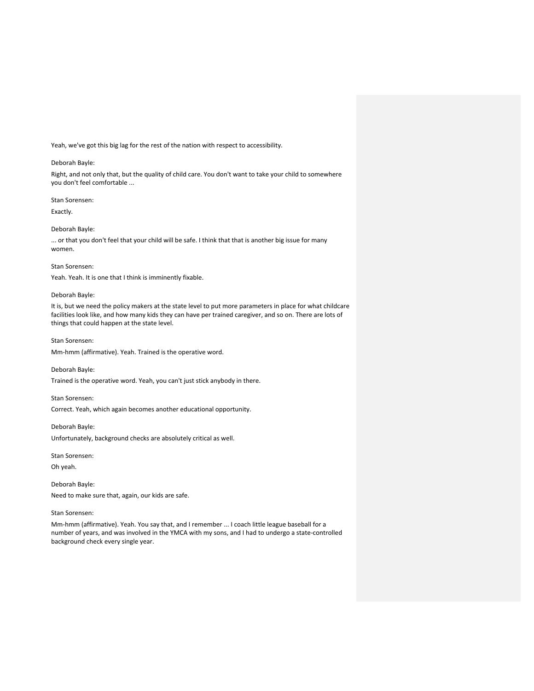Yeah, we've got this big lag for the rest of the nation with respect to accessibility.

# Deborah Bayle:

Right, and not only that, but the quality of child care. You don't want to take your child to somewhere you don't feel comfortable ...

# Stan Sorensen:

Exactly.

# Deborah Bayle:

... or that you don't feel that your child will be safe. I think that that is another big issue for many women.

## Stan Sorensen:

Yeah. Yeah. It is one that I think is imminently fixable.

# Deborah Bayle:

It is, but we need the policy makers at the state level to put more parameters in place for what childcare facilities look like, and how many kids they can have per trained caregiver, and so on. There are lots of things that could happen at the state level.

# Stan Sorensen:

Mm-hmm (affirmative). Yeah. Trained is the operative word.

# Deborah Bayle:

Trained is the operative word. Yeah, you can't just stick anybody in there.

# Stan Sorensen:

Correct. Yeah, which again becomes another educational opportunity.

# Deborah Bayle:

Unfortunately, background checks are absolutely critical as well.

Stan Sorensen:

Oh yeah.

Deborah Bayle: Need to make sure that, again, our kids are safe.

# Stan Sorensen:

Mm-hmm (affirmative). Yeah. You say that, and I remember ... I coach little league baseball for a number of years, and was involved in the YMCA with my sons, and I had to undergo a state-controlled background check every single year.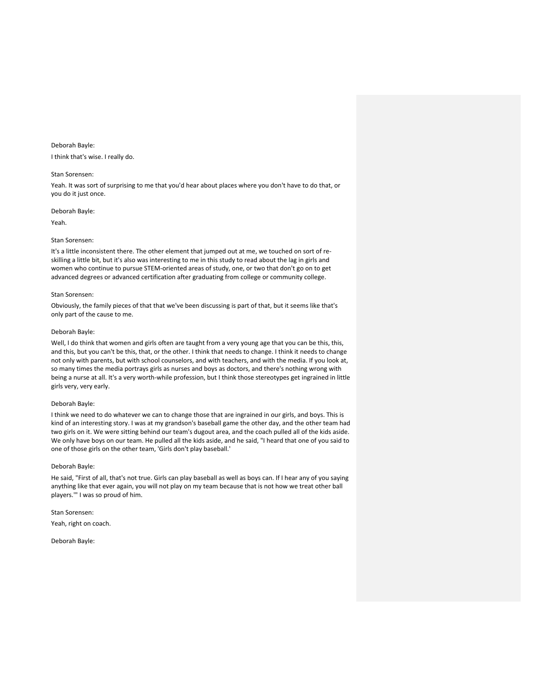I think that's wise. I really do.

#### Stan Sorensen:

Yeah. It was sort of surprising to me that you'd hear about places where you don't have to do that, or you do it just once.

Deborah Bayle:

Yeah.

# Stan Sorensen:

It's a little inconsistent there. The other element that jumped out at me, we touched on sort of reskilling a little bit, but it's also was interesting to me in this study to read about the lag in girls and women who continue to pursue STEM-oriented areas of study, one, or two that don't go on to get advanced degrees or advanced certification after graduating from college or community college.

#### Stan Sorensen:

Obviously, the family pieces of that that we've been discussing is part of that, but it seems like that's only part of the cause to me.

# Deborah Bayle:

Well, I do think that women and girls often are taught from a very young age that you can be this, this, and this, but you can't be this, that, or the other. I think that needs to change. I think it needs to change not only with parents, but with school counselors, and with teachers, and with the media. If you look at, so many times the media portrays girls as nurses and boys as doctors, and there's nothing wrong with being a nurse at all. It's a very worth-while profession, but I think those stereotypes get ingrained in little girls very, very early.

# Deborah Bayle:

I think we need to do whatever we can to change those that are ingrained in our girls, and boys. This is kind of an interesting story. I was at my grandson's baseball game the other day, and the other team had two girls on it. We were sitting behind our team's dugout area, and the coach pulled all of the kids aside. We only have boys on our team. He pulled all the kids aside, and he said, "I heard that one of you said to one of those girls on the other team, 'Girls don't play baseball.'

# Deborah Bayle:

He said, "First of all, that's not true. Girls can play baseball as well as boys can. If I hear any of you saying anything like that ever again, you will not play on my team because that is not how we treat other ball players.'" I was so proud of him.

Stan Sorensen: Yeah, right on coach.

Deborah Bayle: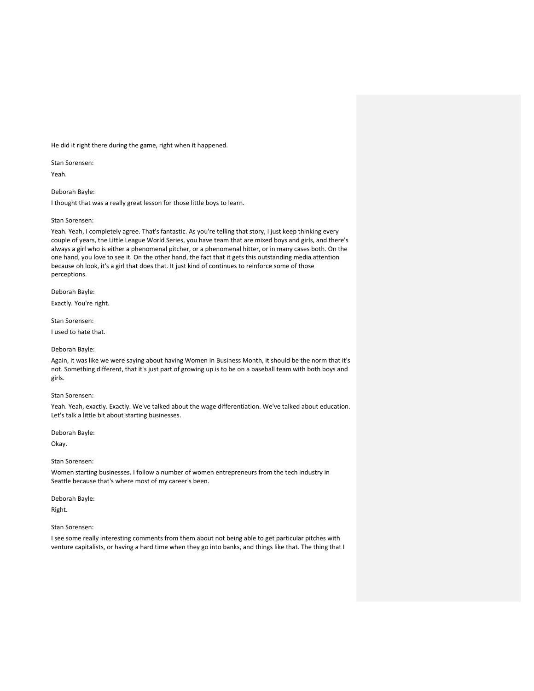He did it right there during the game, right when it happened.

Stan Sorensen:

Yeah.

Deborah Bayle:

I thought that was a really great lesson for those little boys to learn.

#### Stan Sorensen:

Yeah. Yeah, I completely agree. That's fantastic. As you're telling that story, I just keep thinking every couple of years, the Little League World Series, you have team that are mixed boys and girls, and there's always a girl who is either a phenomenal pitcher, or a phenomenal hitter, or in many cases both. On the one hand, you love to see it. On the other hand, the fact that it gets this outstanding media attention because oh look, it's a girl that does that. It just kind of continues to reinforce some of those perceptions.

Deborah Bayle:

Exactly. You're right.

Stan Sorensen:

I used to hate that.

# Deborah Bayle:

Again, it was like we were saying about having Women In Business Month, it should be the norm that it's not. Something different, that it's just part of growing up is to be on a baseball team with both boys and girls.

#### Stan Sorensen:

Yeah. Yeah, exactly. Exactly. We've talked about the wage differentiation. We've talked about education. Let's talk a little bit about starting businesses.

Deborah Bayle:

Okay.

# Stan Sorensen:

Women starting businesses. I follow a number of women entrepreneurs from the tech industry in Seattle because that's where most of my career's been.

Deborah Bayle:

Right.

## Stan Sorensen:

I see some really interesting comments from them about not being able to get particular pitches with venture capitalists, or having a hard time when they go into banks, and things like that. The thing that I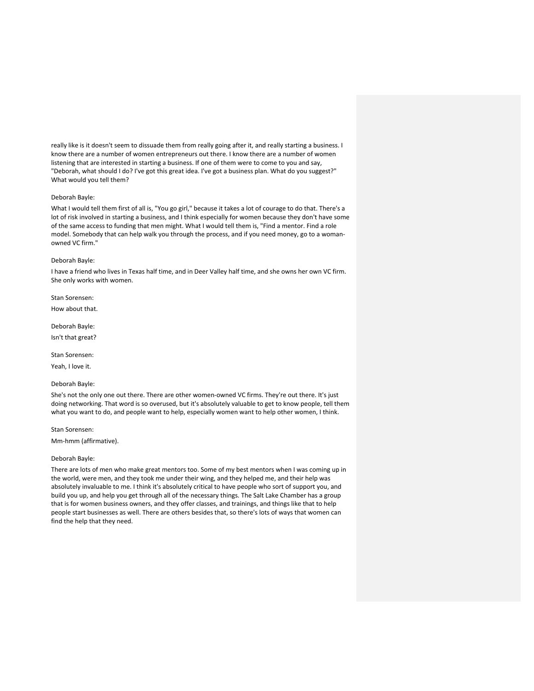really like is it doesn't seem to dissuade them from really going after it, and really starting a business. I know there are a number of women entrepreneurs out there. I know there are a number of women listening that are interested in starting a business. If one of them were to come to you and say, "Deborah, what should I do? I've got this great idea. I've got a business plan. What do you suggest?" What would you tell them?

## Deborah Bayle:

What I would tell them first of all is, "You go girl," because it takes a lot of courage to do that. There's a lot of risk involved in starting a business, and I think especially for women because they don't have some of the same access to funding that men might. What I would tell them is, "Find a mentor. Find a role model. Somebody that can help walk you through the process, and if you need money, go to a womanowned VC firm."

# Deborah Bayle:

I have a friend who lives in Texas half time, and in Deer Valley half time, and she owns her own VC firm. She only works with women.

Stan Sorensen: How about that.

Deborah Bayle: Isn't that great?

Stan Sorensen:

Yeah, I love it.

# Deborah Bayle:

She's not the only one out there. There are other women-owned VC firms. They're out there. It's just doing networking. That word is so overused, but it's absolutely valuable to get to know people, tell them what you want to do, and people want to help, especially women want to help other women, I think.

#### Stan Sorensen:

Mm-hmm (affirmative).

# Deborah Bayle:

There are lots of men who make great mentors too. Some of my best mentors when I was coming up in the world, were men, and they took me under their wing, and they helped me, and their help was absolutely invaluable to me. I think it's absolutely critical to have people who sort of support you, and build you up, and help you get through all of the necessary things. The Salt Lake Chamber has a group that is for women business owners, and they offer classes, and trainings, and things like that to help people start businesses as well. There are others besides that, so there's lots of ways that women can find the help that they need.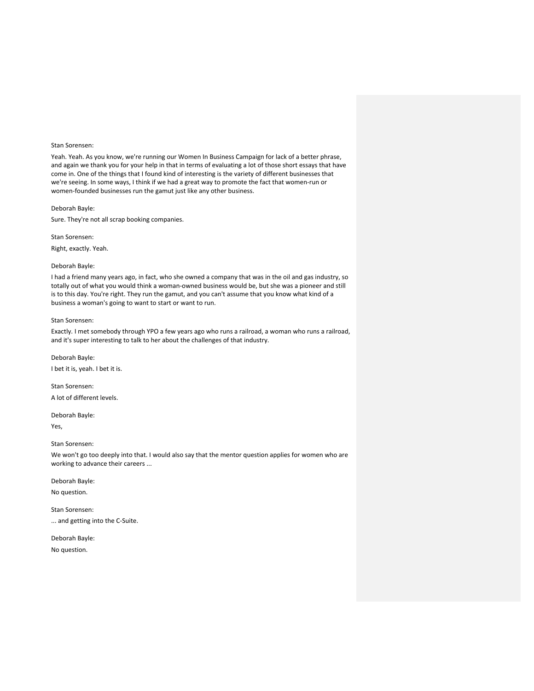Yeah. Yeah. As you know, we're running our Women In Business Campaign for lack of a better phrase, and again we thank you for your help in that in terms of evaluating a lot of those short essays that have come in. One of the things that I found kind of interesting is the variety of different businesses that we're seeing. In some ways, I think if we had a great way to promote the fact that women-run or women-founded businesses run the gamut just like any other business.

Deborah Bayle:

Sure. They're not all scrap booking companies.

Stan Sorensen:

Right, exactly. Yeah.

# Deborah Bayle:

I had a friend many years ago, in fact, who she owned a company that was in the oil and gas industry, so totally out of what you would think a woman-owned business would be, but she was a pioneer and still is to this day. You're right. They run the gamut, and you can't assume that you know what kind of a business a woman's going to want to start or want to run.

# Stan Sorensen:

Exactly. I met somebody through YPO a few years ago who runs a railroad, a woman who runs a railroad, and it's super interesting to talk to her about the challenges of that industry.

Deborah Bayle: I bet it is, yeah. I bet it is.

Stan Sorensen: A lot of different levels.

Deborah Bayle: Yes,

#### Stan Sorensen:

We won't go too deeply into that. I would also say that the mentor question applies for women who are working to advance their careers ...

Deborah Bayle:

No question.

Stan Sorensen:

... and getting into the C-Suite.

Deborah Bayle: No question.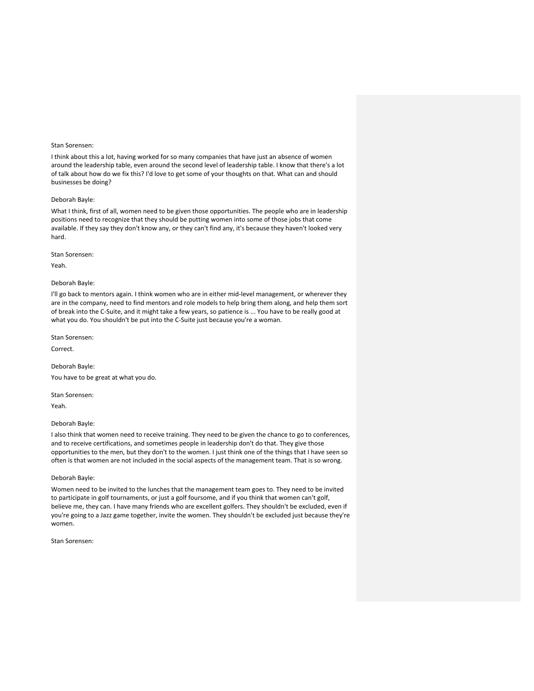I think about this a lot, having worked for so many companies that have just an absence of women around the leadership table, even around the second level of leadership table. I know that there's a lot of talk about how do we fix this? I'd love to get some of your thoughts on that. What can and should businesses be doing?

# Deborah Bayle:

What I think, first of all, women need to be given those opportunities. The people who are in leadership positions need to recognize that they should be putting women into some of those jobs that come available. If they say they don't know any, or they can't find any, it's because they haven't looked very hard.

Stan Sorensen:

Yeah.

# Deborah Bayle:

I'll go back to mentors again. I think women who are in either mid-level management, or wherever they are in the company, need to find mentors and role models to help bring them along, and help them sort of break into the C-Suite, and it might take a few years, so patience is ... You have to be really good at what you do. You shouldn't be put into the C-Suite just because you're a woman.

Stan Sorensen:

Correct.

Deborah Bayle:

You have to be great at what you do.

Stan Sorensen:

Yeah.

# Deborah Bayle:

I also think that women need to receive training. They need to be given the chance to go to conferences, and to receive certifications, and sometimes people in leadership don't do that. They give those opportunities to the men, but they don't to the women. I just think one of the things that I have seen so often is that women are not included in the social aspects of the management team. That is so wrong.

## Deborah Bayle:

Women need to be invited to the lunches that the management team goes to. They need to be invited to participate in golf tournaments, or just a golf foursome, and if you think that women can't golf, believe me, they can. I have many friends who are excellent golfers. They shouldn't be excluded, even if you're going to a Jazz game together, invite the women. They shouldn't be excluded just because they're women.

Stan Sorensen: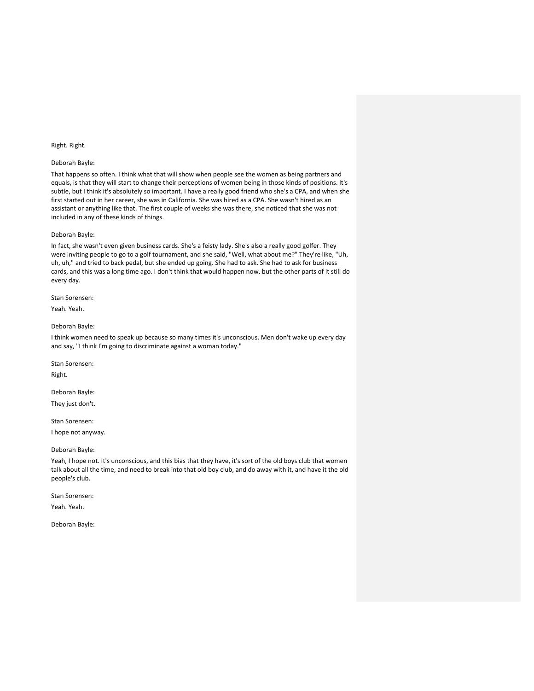## Right. Right.

# Deborah Bayle:

That happens so often. I think what that will show when people see the women as being partners and equals, is that they will start to change their perceptions of women being in those kinds of positions. It's subtle, but I think it's absolutely so important. I have a really good friend who she's a CPA, and when she first started out in her career, she was in California. She was hired as a CPA. She wasn't hired as an assistant or anything like that. The first couple of weeks she was there, she noticed that she was not included in any of these kinds of things.

## Deborah Bayle:

In fact, she wasn't even given business cards. She's a feisty lady. She's also a really good golfer. They were inviting people to go to a golf tournament, and she said, "Well, what about me?" They're like, "Uh, uh, uh," and tried to back pedal, but she ended up going. She had to ask. She had to ask for business cards, and this was a long time ago. I don't think that would happen now, but the other parts of it still do every day.

Stan Sorensen:

Yeah. Yeah.

# Deborah Bayle:

I think women need to speak up because so many times it's unconscious. Men don't wake up every day and say, "I think I'm going to discriminate against a woman today."

Stan Sorensen:

Right.

Deborah Bayle:

They just don't.

Stan Sorensen:

I hope not anyway.

# Deborah Bayle:

Yeah, I hope not. It's unconscious, and this bias that they have, it's sort of the old boys club that women talk about all the time, and need to break into that old boy club, and do away with it, and have it the old people's club.

Stan Sorensen:

Yeah. Yeah.

Deborah Bayle: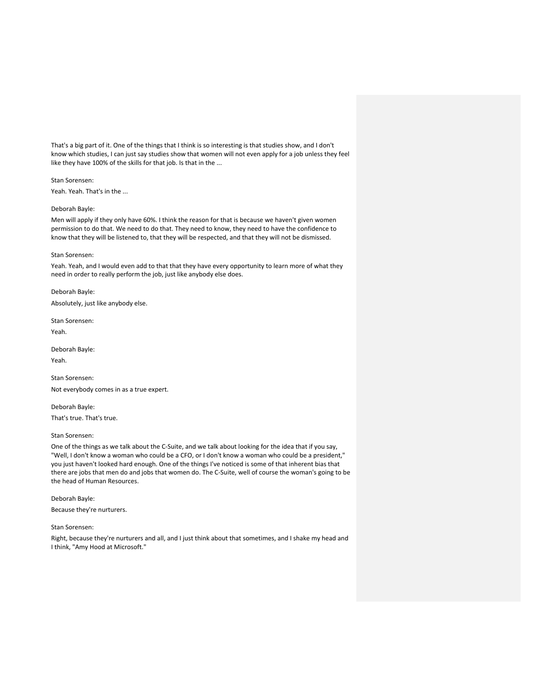That's a big part of it. One of the things that I think is so interesting is that studies show, and I don't know which studies, I can just say studies show that women will not even apply for a job unless they feel like they have 100% of the skills for that job. Is that in the ...

Stan Sorensen: Yeah. Yeah. That's in the ...

## Deborah Bayle:

Men will apply if they only have 60%. I think the reason for that is because we haven't given women permission to do that. We need to do that. They need to know, they need to have the confidence to know that they will be listened to, that they will be respected, and that they will not be dismissed.

#### Stan Sorensen:

Yeah. Yeah, and I would even add to that that they have every opportunity to learn more of what they need in order to really perform the job, just like anybody else does.

Deborah Bayle: Absolutely, just like anybody else.

Stan Sorensen: Yeah.

Deborah Bayle:

Yeah.

Stan Sorensen: Not everybody comes in as a true expert.

Deborah Bayle: That's true. That's true.

# Stan Sorensen:

One of the things as we talk about the C-Suite, and we talk about looking for the idea that if you say, "Well, I don't know a woman who could be a CFO, or I don't know a woman who could be a president," you just haven't looked hard enough. One of the things I've noticed is some of that inherent bias that there are jobs that men do and jobs that women do. The C-Suite, well of course the woman's going to be the head of Human Resources.

Deborah Bayle: Because they're nurturers.

Stan Sorensen:

Right, because they're nurturers and all, and I just think about that sometimes, and I shake my head and I think, "Amy Hood at Microsoft."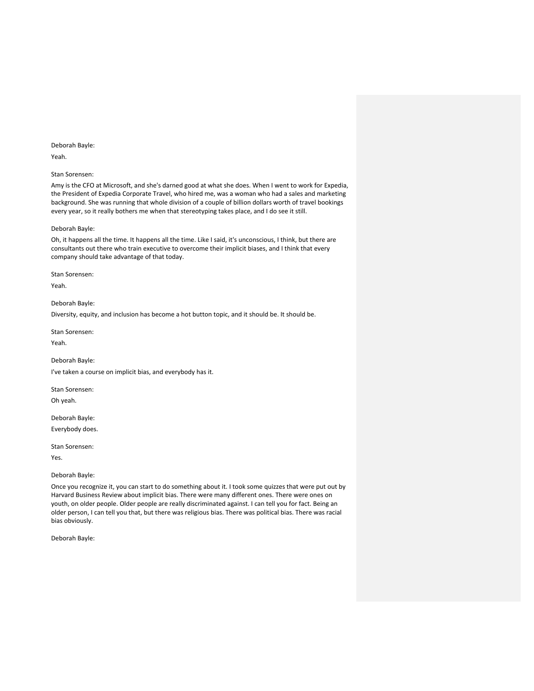Yeah.

# Stan Sorensen:

Amy is the CFO at Microsoft, and she's darned good at what she does. When I went to work for Expedia, the President of Expedia Corporate Travel, who hired me, was a woman who had a sales and marketing background. She was running that whole division of a couple of billion dollars worth of travel bookings every year, so it really bothers me when that stereotyping takes place, and I do see it still.

# Deborah Bayle:

Oh, it happens all the time. It happens all the time. Like I said, it's unconscious, I think, but there are consultants out there who train executive to overcome their implicit biases, and I think that every company should take advantage of that today.

Stan Sorensen:

Yeah.

Deborah Bayle: Diversity, equity, and inclusion has become a hot button topic, and it should be. It should be.

Stan Sorensen:

Yeah.

Deborah Bayle: I've taken a course on implicit bias, and everybody has it.

Stan Sorensen:

Oh yeah.

Deborah Bayle: Everybody does.

Stan Sorensen:

Yes.

Deborah Bayle:

Once you recognize it, you can start to do something about it. I took some quizzes that were put out by Harvard Business Review about implicit bias. There were many different ones. There were ones on youth, on older people. Older people are really discriminated against. I can tell you for fact. Being an older person, I can tell you that, but there was religious bias. There was political bias. There was racial bias obviously.

Deborah Bayle: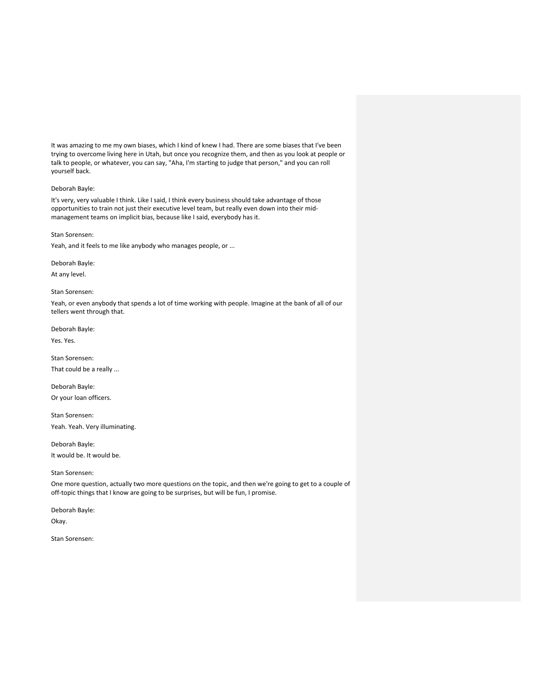It was amazing to me my own biases, which I kind of knew I had. There are some biases that I've been trying to overcome living here in Utah, but once you recognize them, and then as you look at people or talk to people, or whatever, you can say, "Aha, I'm starting to judge that person," and you can roll yourself back.

# Deborah Bayle:

It's very, very valuable I think. Like I said, I think every business should take advantage of those opportunities to train not just their executive level team, but really even down into their midmanagement teams on implicit bias, because like I said, everybody has it.

# Stan Sorensen:

Yeah, and it feels to me like anybody who manages people, or ...

# Deborah Bayle:

At any level.

## Stan Sorensen:

Yeah, or even anybody that spends a lot of time working with people. Imagine at the bank of all of our tellers went through that.

Deborah Bayle:

Yes. Yes.

Stan Sorensen: That could be a really ...

Deborah Bayle: Or your loan officers.

Stan Sorensen: Yeah. Yeah. Very illuminating.

Deborah Bayle: It would be. It would be.

# Stan Sorensen:

One more question, actually two more questions on the topic, and then we're going to get to a couple of off-topic things that I know are going to be surprises, but will be fun, I promise.

Deborah Bayle:

Okay.

Stan Sorensen: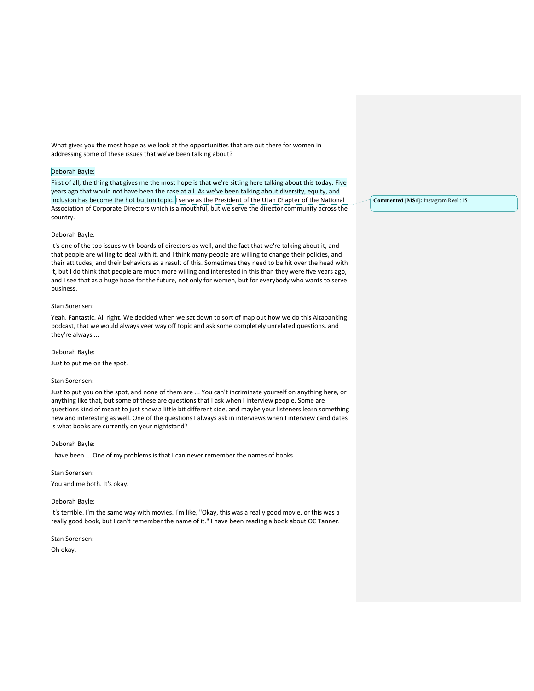What gives you the most hope as we look at the opportunities that are out there for women in addressing some of these issues that we've been talking about?

# Deborah Bayle:

First of all, the thing that gives me the most hope is that we're sitting here talking about this today. Five years ago that would not have been the case at all. As we've been talking about diversity, equity, and inclusion has become the hot button topic. I serve as the President of the Utah Chapter of the National Association of Corporate Directors which is a mouthful, but we serve the director community across the country.

# Deborah Bayle:

It's one of the top issues with boards of directors as well, and the fact that we're talking about it, and that people are willing to deal with it, and I think many people are willing to change their policies, and their attitudes, and their behaviors as a result of this. Sometimes they need to be hit over the head with it, but I do think that people are much more willing and interested in this than they were five years ago, and I see that as a huge hope for the future, not only for women, but for everybody who wants to serve business.

## Stan Sorensen:

Yeah. Fantastic. All right. We decided when we sat down to sort of map out how we do this Altabanking podcast, that we would always veer way off topic and ask some completely unrelated questions, and they're always ...

#### Deborah Bayle:

Just to put me on the spot.

#### Stan Sorensen:

Just to put you on the spot, and none of them are ... You can't incriminate yourself on anything here, or anything like that, but some of these are questions that I ask when I interview people. Some are questions kind of meant to just show a little bit different side, and maybe your listeners learn something new and interesting as well. One of the questions I always ask in interviews when I interview candidates is what books are currently on your nightstand?

#### Deborah Bayle:

I have been ... One of my problems is that I can never remember the names of books.

Stan Sorensen: You and me both. It's okay.

#### Deborah Bayle:

It's terrible. I'm the same way with movies. I'm like, "Okay, this was a really good movie, or this was a really good book, but I can't remember the name of it." I have been reading a book about OC Tanner.

Stan Sorensen: Oh okay.

**Commented [MS1]:** Instagram Reel :15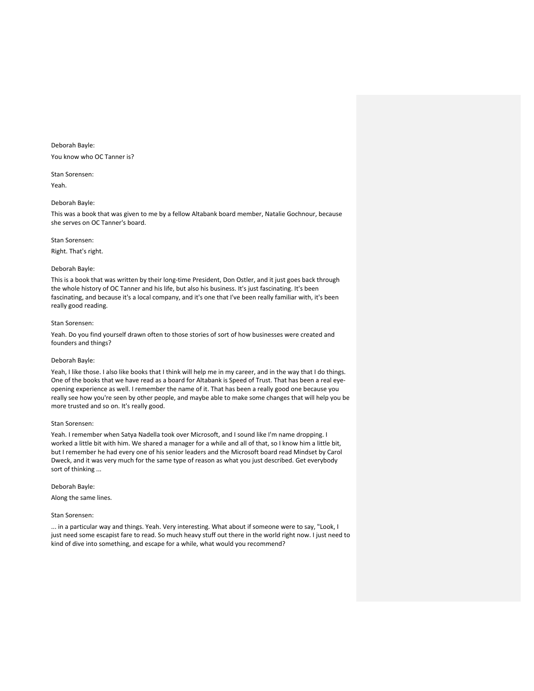Deborah Bayle: You know who OC Tanner is?

Stan Sorensen: Yeah.

# Deborah Bayle:

This was a book that was given to me by a fellow Altabank board member, Natalie Gochnour, because she serves on OC Tanner's board.

# Stan Sorensen:

Right. That's right.

# Deborah Bayle:

This is a book that was written by their long-time President, Don Ostler, and it just goes back through the whole history of OC Tanner and his life, but also his business. It's just fascinating. It's been fascinating, and because it's a local company, and it's one that I've been really familiar with, it's been really good reading.

#### Stan Sorensen:

Yeah. Do you find yourself drawn often to those stories of sort of how businesses were created and founders and things?

#### Deborah Bayle:

Yeah, I like those. I also like books that I think will help me in my career, and in the way that I do things. One of the books that we have read as a board for Altabank is Speed of Trust. That has been a real eyeopening experience as well. I remember the name of it. That has been a really good one because you really see how you're seen by other people, and maybe able to make some changes that will help you be more trusted and so on. It's really good.

# Stan Sorensen:

Yeah. I remember when Satya Nadella took over Microsoft, and I sound like I'm name dropping. I worked a little bit with him. We shared a manager for a while and all of that, so I know him a little bit, but I remember he had every one of his senior leaders and the Microsoft board read Mindset by Carol Dweck, and it was very much for the same type of reason as what you just described. Get everybody sort of thinking ...

Deborah Bayle:

Along the same lines.

## Stan Sorensen:

... in a particular way and things. Yeah. Very interesting. What about if someone were to say, "Look, I just need some escapist fare to read. So much heavy stuff out there in the world right now. I just need to kind of dive into something, and escape for a while, what would you recommend?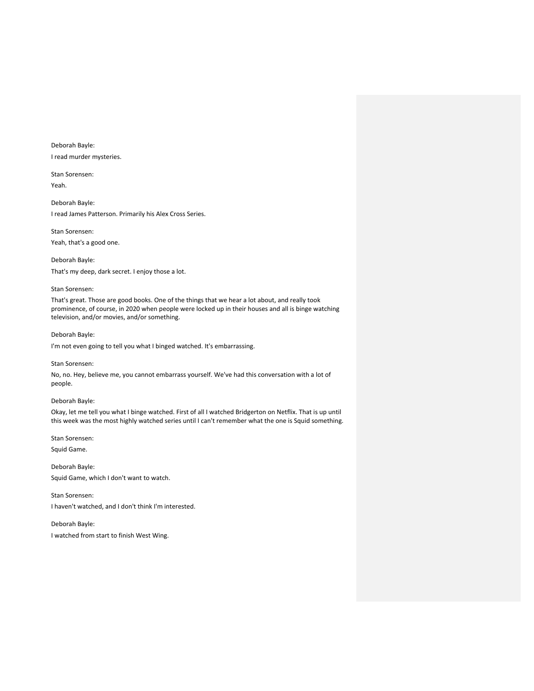Deborah Bayle: I read murder mysteries.

Stan Sorensen: Yeah.

Deborah Bayle: I read James Patterson. Primarily his Alex Cross Series.

Stan Sorensen: Yeah, that's a good one.

Deborah Bayle: That's my deep, dark secret. I enjoy those a lot.

# Stan Sorensen:

That's great. Those are good books. One of the things that we hear a lot about, and really took prominence, of course, in 2020 when people were locked up in their houses and all is binge watching television, and/or movies, and/or something.

Deborah Bayle:

I'm not even going to tell you what I binged watched. It's embarrassing.

## Stan Sorensen:

No, no. Hey, believe me, you cannot embarrass yourself. We've had this conversation with a lot of people.

# Deborah Bayle:

Okay, let me tell you what I binge watched. First of all I watched Bridgerton on Netflix. That is up until this week was the most highly watched series until I can't remember what the one is Squid something.

Stan Sorensen:

Squid Game.

Deborah Bayle: Squid Game, which I don't want to watch.

Stan Sorensen: I haven't watched, and I don't think I'm interested.

Deborah Bayle: I watched from start to finish West Wing.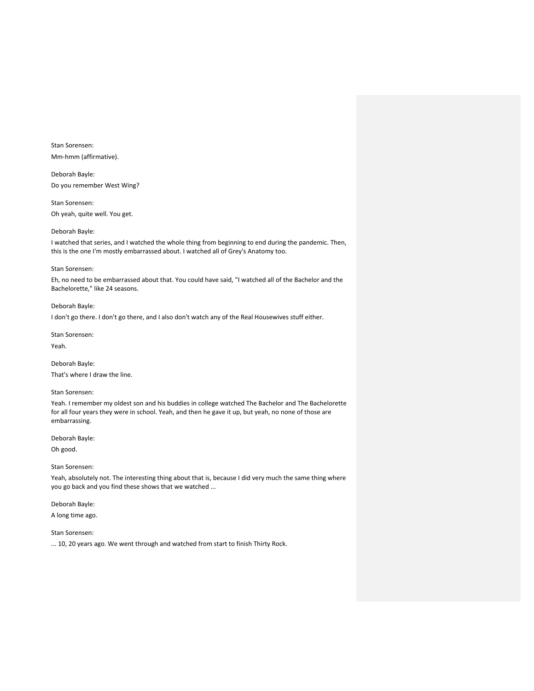Stan Sorensen: Mm-hmm (affirmative).

Deborah Bayle: Do you remember West Wing?

Stan Sorensen: Oh yeah, quite well. You get.

# Deborah Bayle:

I watched that series, and I watched the whole thing from beginning to end during the pandemic. Then, this is the one I'm mostly embarrassed about. I watched all of Grey's Anatomy too.

#### Stan Sorensen:

Eh, no need to be embarrassed about that. You could have said, "I watched all of the Bachelor and the Bachelorette," like 24 seasons.

# Deborah Bayle:

I don't go there. I don't go there, and I also don't watch any of the Real Housewives stuff either.

Stan Sorensen: Yeah.

Deborah Bayle: That's where I draw the line.

## Stan Sorensen:

Yeah. I remember my oldest son and his buddies in college watched The Bachelor and The Bachelorette for all four years they were in school. Yeah, and then he gave it up, but yeah, no none of those are embarrassing.

Deborah Bayle:

Oh good.

# Stan Sorensen:

Yeah, absolutely not. The interesting thing about that is, because I did very much the same thing where you go back and you find these shows that we watched ...

# Deborah Bayle:

A long time ago.

# Stan Sorensen:

... 10, 20 years ago. We went through and watched from start to finish Thirty Rock.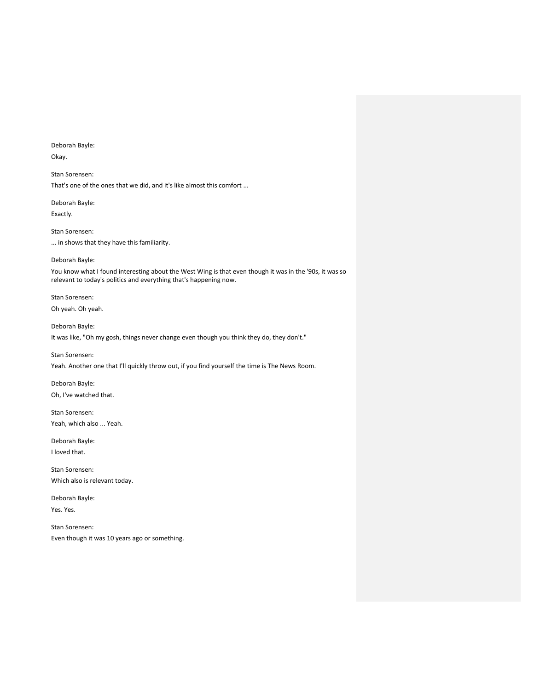Deborah Bayle: Okay.

Stan Sorensen: That's one of the ones that we did, and it's like almost this comfort ...

Deborah Bayle: Exactly.

Stan Sorensen: ... in shows that they have this familiarity.

Deborah Bayle:

You know what I found interesting about the West Wing is that even though it was in the '90s, it was so relevant to today's politics and everything that's happening now.

Stan Sorensen: Oh yeah. Oh yeah.

Deborah Bayle: It was like, "Oh my gosh, things never change even though you think they do, they don't."

Stan Sorensen:

Yeah. Another one that I'll quickly throw out, if you find yourself the time is The News Room.

Deborah Bayle: Oh, I've watched that.

Stan Sorensen: Yeah, which also ... Yeah.

Deborah Bayle: I loved that.

Stan Sorensen: Which also is relevant today.

Deborah Bayle: Yes. Yes.

Stan Sorensen: Even though it was 10 years ago or something.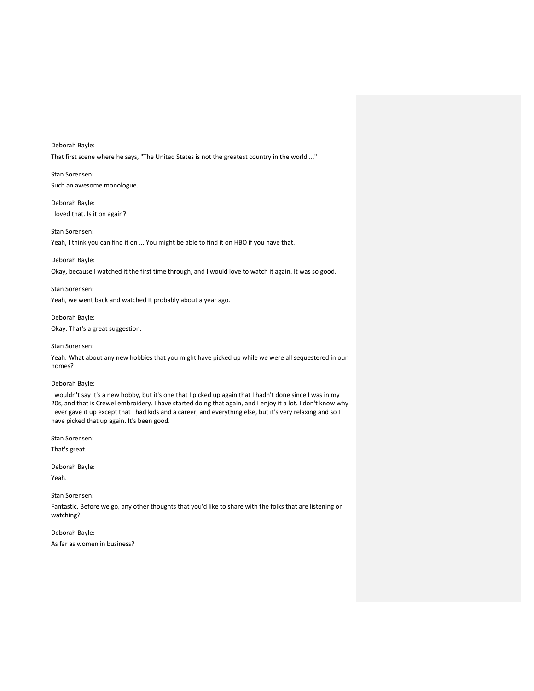Deborah Bayle: That first scene where he says, "The United States is not the greatest country in the world ..."

Stan Sorensen: Such an awesome monologue.

Deborah Bayle: I loved that. Is it on again?

Stan Sorensen: Yeah, I think you can find it on ... You might be able to find it on HBO if you have that.

Deborah Bayle: Okay, because I watched it the first time through, and I would love to watch it again. It was so good.

Stan Sorensen: Yeah, we went back and watched it probably about a year ago.

Deborah Bayle: Okay. That's a great suggestion.

Stan Sorensen:

Yeah. What about any new hobbies that you might have picked up while we were all sequestered in our homes?

Deborah Bayle:

I wouldn't say it's a new hobby, but it's one that I picked up again that I hadn't done since I was in my 20s, and that is Crewel embroidery. I have started doing that again, and I enjoy it a lot. I don't know why I ever gave it up except that I had kids and a career, and everything else, but it's very relaxing and so I have picked that up again. It's been good.

Stan Sorensen:

That's great.

Deborah Bayle:

Yeah.

Stan Sorensen:

Fantastic. Before we go, any other thoughts that you'd like to share with the folks that are listening or watching?

Deborah Bayle: As far as women in business?